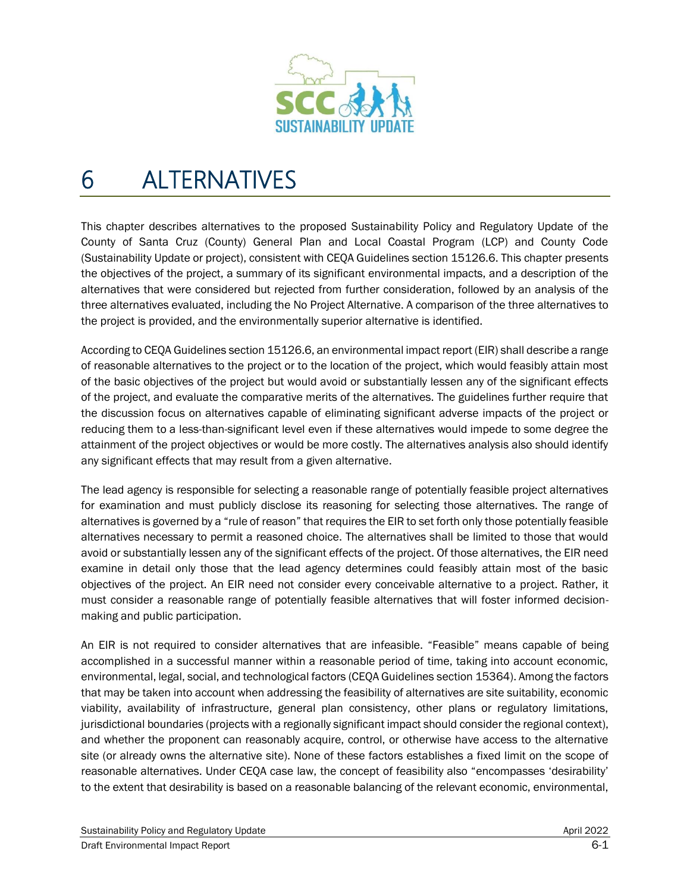

# 6 ALTERNATIVES

This chapter describes alternatives to the proposed Sustainability Policy and Regulatory Update of the County of Santa Cruz (County) General Plan and Local Coastal Program (LCP) and County Code (Sustainability Update or project), consistent with CEQA Guidelines section 15126.6. This chapter presents the objectives of the project, a summary of its significant environmental impacts, and a description of the alternatives that were considered but rejected from further consideration, followed by an analysis of the three alternatives evaluated, including the No Project Alternative. A comparison of the three alternatives to the project is provided, and the environmentally superior alternative is identified.

According to CEQA Guidelines section 15126.6, an environmental impact report (EIR) shall describe a range of reasonable alternatives to the project or to the location of the project, which would feasibly attain most of the basic objectives of the project but would avoid or substantially lessen any of the significant effects of the project, and evaluate the comparative merits of the alternatives. The guidelines further require that the discussion focus on alternatives capable of eliminating significant adverse impacts of the project or reducing them to a less-than-significant level even if these alternatives would impede to some degree the attainment of the project objectives or would be more costly. The alternatives analysis also should identify any significant effects that may result from a given alternative.

The lead agency is responsible for selecting a reasonable range of potentially feasible project alternatives for examination and must publicly disclose its reasoning for selecting those alternatives. The range of alternatives is governed by a "rule of reason" that requires the EIR to set forth only those potentially feasible alternatives necessary to permit a reasoned choice. The alternatives shall be limited to those that would avoid or substantially lessen any of the significant effects of the project. Of those alternatives, the EIR need examine in detail only those that the lead agency determines could feasibly attain most of the basic objectives of the project. An EIR need not consider every conceivable alternative to a project. Rather, it must consider a reasonable range of potentially feasible alternatives that will foster informed decisionmaking and public participation.

An EIR is not required to consider alternatives that are infeasible. "Feasible" means capable of being accomplished in a successful manner within a reasonable period of time, taking into account economic, environmental, legal, social, and technological factors (CEQA Guidelines section 15364). Among the factors that may be taken into account when addressing the feasibility of alternatives are site suitability, economic viability, availability of infrastructure, general plan consistency, other plans or regulatory limitations, jurisdictional boundaries (projects with a regionally significant impact should consider the regional context), and whether the proponent can reasonably acquire, control, or otherwise have access to the alternative site (or already owns the alternative site). None of these factors establishes a fixed limit on the scope of reasonable alternatives. Under CEQA case law, the concept of feasibility also "encompasses 'desirability' to the extent that desirability is based on a reasonable balancing of the relevant economic, environmental,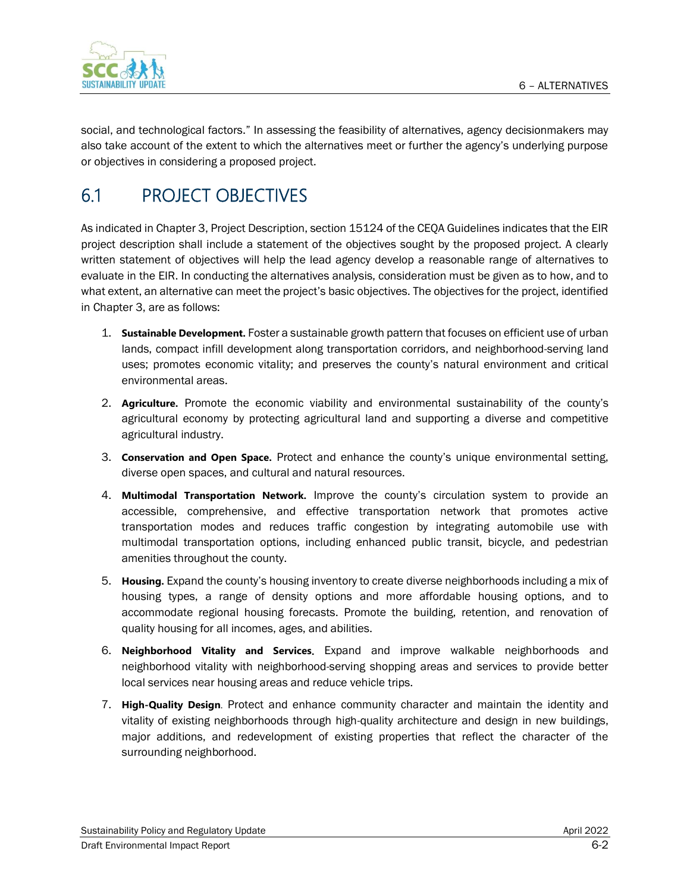

social, and technological factors." In assessing the feasibility of alternatives, agency decisionmakers may also take account of the extent to which the alternatives meet or further the agency's underlying purpose or objectives in considering a proposed project.

# 6.1 PROJECT OBJECTIVES

As indicated in Chapter 3, Project Description, section 15124 of the CEQA Guidelines indicates that the EIR project description shall include a statement of the objectives sought by the proposed project. A clearly written statement of objectives will help the lead agency develop a reasonable range of alternatives to evaluate in the EIR. In conducting the alternatives analysis, consideration must be given as to how, and to what extent, an alternative can meet the project's basic objectives. The objectives for the project, identified in Chapter 3, are as follows:

- 1. **Sustainable Development.** Foster a sustainable growth pattern that focuses on efficient use of urban lands, compact infill development along transportation corridors, and neighborhood-serving land uses; promotes economic vitality; and preserves the county's natural environment and critical environmental areas.
- 2. **Agriculture.** Promote the economic viability and environmental sustainability of the county's agricultural economy by protecting agricultural land and supporting a diverse and competitive agricultural industry.
- 3. **Conservation and Open Space.** Protect and enhance the county's unique environmental setting, diverse open spaces, and cultural and natural resources.
- 4. **Multimodal Transportation Network.** Improve the county's circulation system to provide an accessible, comprehensive, and effective transportation network that promotes active transportation modes and reduces traffic congestion by integrating automobile use with multimodal transportation options, including enhanced public transit, bicycle, and pedestrian amenities throughout the county.
- 5. **Housing.** Expand the county's housing inventory to create diverse neighborhoods including a mix of housing types, a range of density options and more affordable housing options, and to accommodate regional housing forecasts. Promote the building, retention, and renovation of quality housing for all incomes, ages, and abilities.
- 6. **Neighborhood Vitality and Services**. Expand and improve walkable neighborhoods and neighborhood vitality with neighborhood-serving shopping areas and services to provide better local services near housing areas and reduce vehicle trips.
- 7. **High-Quality Design**. Protect and enhance community character and maintain the identity and vitality of existing neighborhoods through high-quality architecture and design in new buildings, major additions, and redevelopment of existing properties that reflect the character of the surrounding neighborhood.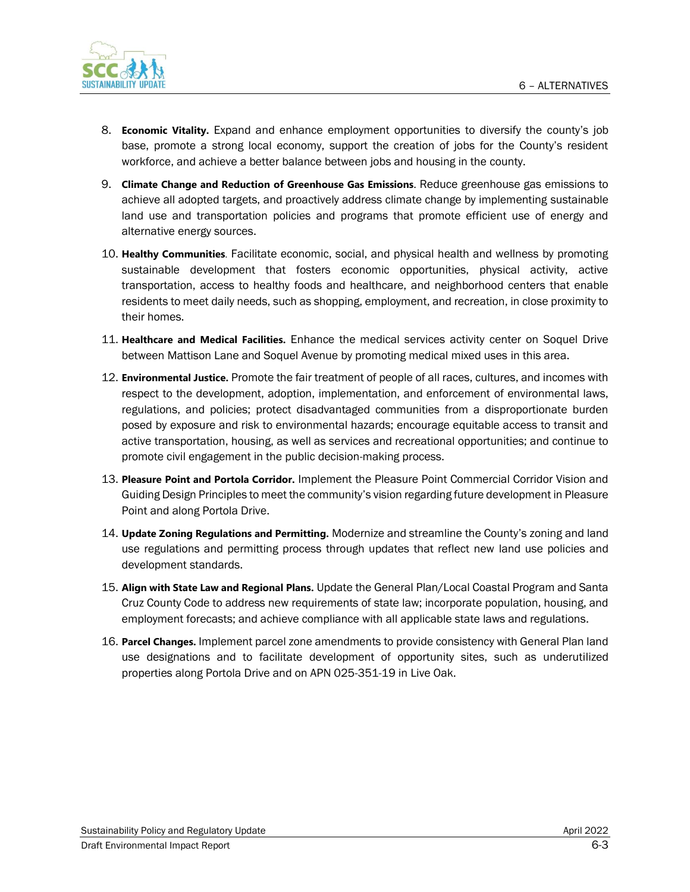

- 8. **Economic Vitality.** Expand and enhance employment opportunities to diversify the county's job base, promote a strong local economy, support the creation of jobs for the County's resident workforce, and achieve a better balance between jobs and housing in the county.
- 9. **Climate Change and Reduction of Greenhouse Gas Emissions.** Reduce greenhouse gas emissions to achieve all adopted targets, and proactively address climate change by implementing sustainable land use and transportation policies and programs that promote efficient use of energy and alternative energy sources.
- 10. **Healthy Communities**. Facilitate economic, social, and physical health and wellness by promoting sustainable development that fosters economic opportunities, physical activity, active transportation, access to healthy foods and healthcare, and neighborhood centers that enable residents to meet daily needs, such as shopping, employment, and recreation, in close proximity to their homes.
- 11. **Healthcare and Medical Facilities.** Enhance the medical services activity center on Soquel Drive between Mattison Lane and Soquel Avenue by promoting medical mixed uses in this area.
- 12. **Environmental Justice.** Promote the fair treatment of people of all races, cultures, and incomes with respect to the development, adoption, implementation, and enforcement of environmental laws, regulations, and policies; protect disadvantaged communities from a disproportionate burden posed by exposure and risk to environmental hazards; encourage equitable access to transit and active transportation, housing, as well as services and recreational opportunities; and continue to promote civil engagement in the public decision-making process.
- 13. **Pleasure Point and Portola Corridor.** Implement the Pleasure Point Commercial Corridor Vision and Guiding Design Principles to meet the community's vision regarding future development in Pleasure Point and along Portola Drive.
- 14. **Update Zoning Regulations and Permitting.** Modernize and streamline the County's zoning and land use regulations and permitting process through updates that reflect new land use policies and development standards.
- 15. **Align with State Law and Regional Plans.** Update the General Plan/Local Coastal Program and Santa Cruz County Code to address new requirements of state law; incorporate population, housing, and employment forecasts; and achieve compliance with all applicable state laws and regulations.
- 16. **Parcel Changes.** Implement parcel zone amendments to provide consistency with General Plan land use designations and to facilitate development of opportunity sites, such as underutilized properties along Portola Drive and on APN 025-351-19 in Live Oak.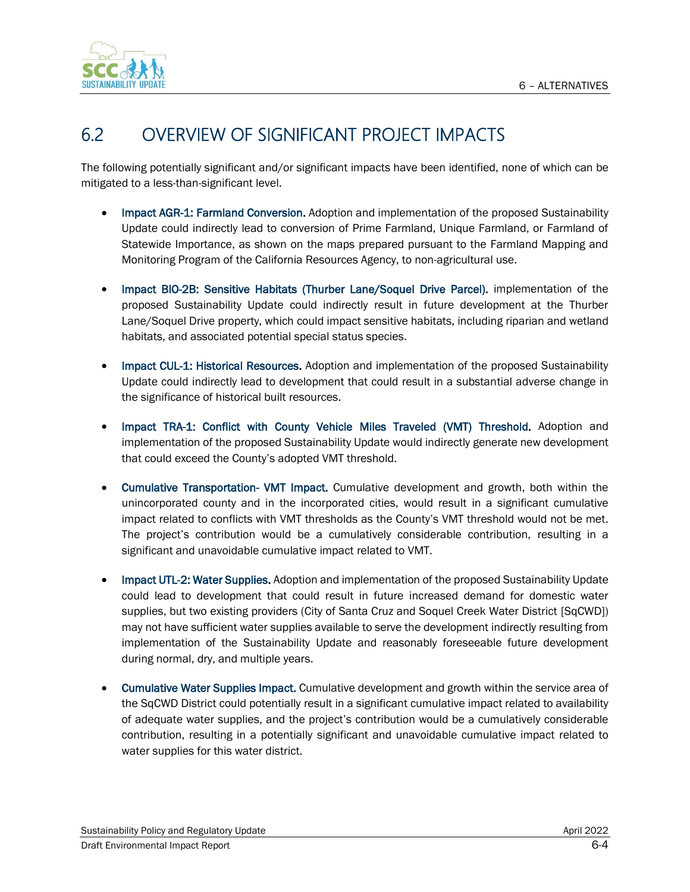

# 6.2 OVERVIEW OF SIGNIFICANT PROJECT IMPACTS

The following potentially significant and/or significant impacts have been identified, none of which can be mitigated to a less-than-significant level.

- Impact AGR-1: Farmland Conversion. Adoption and implementation of the proposed Sustainability Update could indirectly lead to conversion of Prime Farmland, Unique Farmland, or Farmland of Statewide Importance, as shown on the maps prepared pursuant to the Farmland Mapping and Monitoring Program of the California Resources Agency, to non-agricultural use.
- Impact BIO-2B: Sensitive Habitats (Thurber Lane/Soquel Drive Parcel). implementation of the proposed Sustainability Update could indirectly result in future development at the Thurber Lane/Soquel Drive property, which could impact sensitive habitats, including riparian and wetland habitats, and associated potential special status species.
- Impact CUL-1: Historical Resources. Adoption and implementation of the proposed Sustainability Update could indirectly lead to development that could result in a substantial adverse change in the significance of historical built resources.
- Impact TRA-1: Conflict with County Vehicle Miles Traveled (VMT) Threshold. Adoption and implementation of the proposed Sustainability Update would indirectly generate new development that could exceed the County's adopted VMT threshold.
- Cumulative Transportation- VMT Impact. Cumulative development and growth, both within the unincorporated county and in the incorporated cities, would result in a significant cumulative impact related to conflicts with VMT thresholds as the County's VMT threshold would not be met. The project's contribution would be a cumulatively considerable contribution, resulting in a significant and unavoidable cumulative impact related to VMT.
- Impact UTL-2: Water Supplies. Adoption and implementation of the proposed Sustainability Update could lead to development that could result in future increased demand for domestic water supplies, but two existing providers (City of Santa Cruz and Soquel Creek Water District [SqCWD]) may not have sufficient water supplies available to serve the development indirectly resulting from implementation of the Sustainability Update and reasonably foreseeable future development during normal, dry, and multiple years.
- Cumulative Water Supplies Impact. Cumulative development and growth within the service area of the SqCWD District could potentially result in a significant cumulative impact related to availability of adequate water supplies, and the project's contribution would be a cumulatively considerable contribution, resulting in a potentially significant and unavoidable cumulative impact related to water supplies for this water district.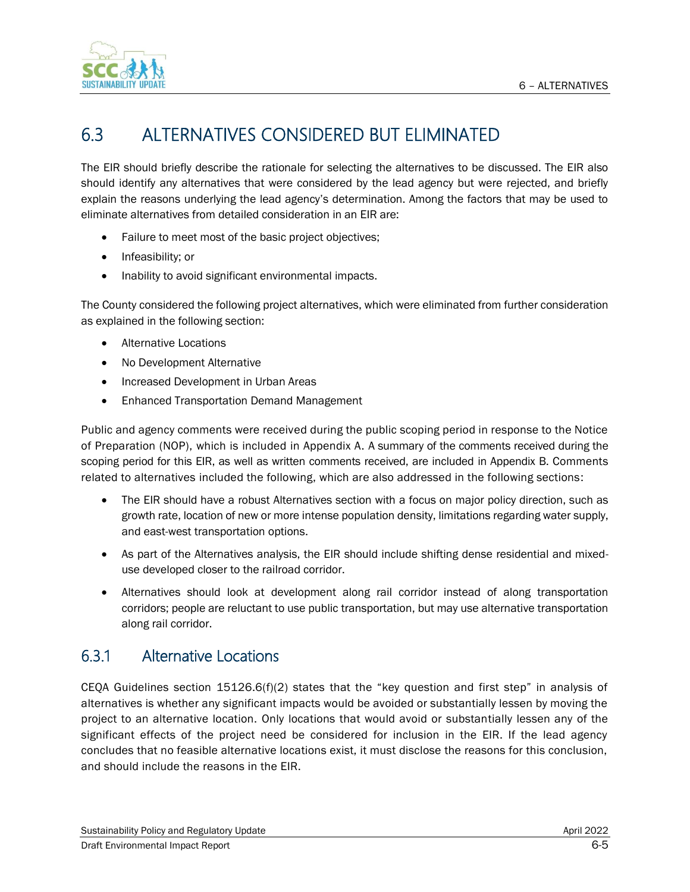

# 6.3 ALTERNATIVES CONSIDERED BUT ELIMINATED

The EIR should briefly describe the rationale for selecting the alternatives to be discussed. The EIR also should identify any alternatives that were considered by the lead agency but were rejected, and briefly explain the reasons underlying the lead agency's determination. Among the factors that may be used to eliminate alternatives from detailed consideration in an EIR are:

- Failure to meet most of the basic project objectives;
- Infeasibility; or
- Inability to avoid significant environmental impacts.

The County considered the following project alternatives, which were eliminated from further consideration as explained in the following section:

- Alternative Locations
- No Development Alternative
- Increased Development in Urban Areas
- Enhanced Transportation Demand Management

Public and agency comments were received during the public scoping period in response to the Notice of Preparation (NOP), which is included in Appendix A. A summary of the comments received during the scoping period for this EIR, as well as written comments received, are included in Appendix B. Comments related to alternatives included the following, which are also addressed in the following sections:

- The EIR should have a robust Alternatives section with a focus on major policy direction, such as growth rate, location of new or more intense population density, limitations regarding water supply, and east-west transportation options.
- As part of the Alternatives analysis, the EIR should include shifting dense residential and mixeduse developed closer to the railroad corridor.
- Alternatives should look at development along rail corridor instead of along transportation corridors; people are reluctant to use public transportation, but may use alternative transportation along rail corridor.

# 6.3.1 Alternative Locations

CEQA Guidelines section 15126.6(f)(2) states that the "key question and first step" in analysis of alternatives is whether any significant impacts would be avoided or substantially lessen by moving the project to an alternative location. Only locations that would avoid or substantially lessen any of the significant effects of the project need be considered for inclusion in the EIR. If the lead agency concludes that no feasible alternative locations exist, it must disclose the reasons for this conclusion, and should include the reasons in the EIR.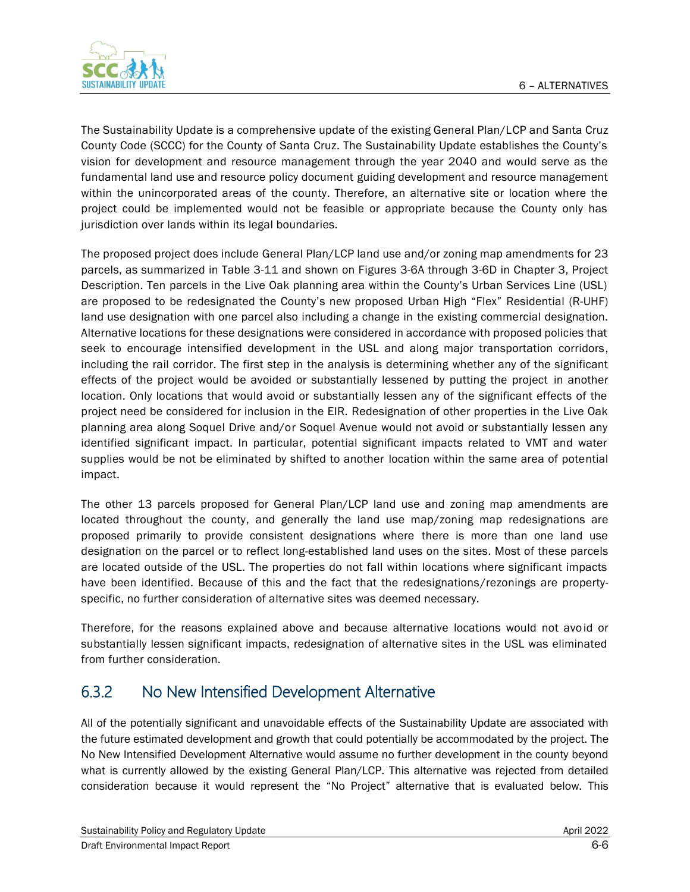

The Sustainability Update is a comprehensive update of the existing General Plan/LCP and Santa Cruz County Code (SCCC) for the County of Santa Cruz. The Sustainability Update establishes the County's vision for development and resource management through the year 2040 and would serve as the fundamental land use and resource policy document guiding development and resource management within the unincorporated areas of the county. Therefore, an alternative site or location where the project could be implemented would not be feasible or appropriate because the County only has jurisdiction over lands within its legal boundaries.

The proposed project does include General Plan/LCP land use and/or zoning map amendments for 23 parcels, as summarized in Table 3-11 and shown on Figures 3-6A through 3-6D in Chapter 3, Project Description. Ten parcels in the Live Oak planning area within the County's Urban Services Line (USL) are proposed to be redesignated the County's new proposed Urban High "Flex" Residential (R-UHF) land use designation with one parcel also including a change in the existing commercial designation. Alternative locations for these designations were considered in accordance with proposed policies that seek to encourage intensified development in the USL and along major transportation corridors, including the rail corridor. The first step in the analysis is determining whether any of the significant effects of the project would be avoided or substantially lessened by putting the project in another location. Only locations that would avoid or substantially lessen any of the significant effects of the project need be considered for inclusion in the EIR. Redesignation of other properties in the Live Oak planning area along Soquel Drive and/or Soquel Avenue would not avoid or substantially lessen any identified significant impact. In particular, potential significant impacts related to VMT and water supplies would be not be eliminated by shifted to another location within the same area of potential impact.

The other 13 parcels proposed for General Plan/LCP land use and zoning map amendments are located throughout the county, and generally the land use map/zoning map redesignations are proposed primarily to provide consistent designations where there is more than one land use designation on the parcel or to reflect long-established land uses on the sites. Most of these parcels are located outside of the USL. The properties do not fall within locations where significant impacts have been identified. Because of this and the fact that the redesignations/rezonings are propertyspecific, no further consideration of alternative sites was deemed necessary.

Therefore, for the reasons explained above and because alternative locations would not avoid or substantially lessen significant impacts, redesignation of alternative sites in the USL was eliminated from further consideration.

# 6.3.2 No New Intensified Development Alternative

All of the potentially significant and unavoidable effects of the Sustainability Update are associated with the future estimated development and growth that could potentially be accommodated by the project. The No New Intensified Development Alternative would assume no further development in the county beyond what is currently allowed by the existing General Plan/LCP. This alternative was rejected from detailed consideration because it would represent the "No Project" alternative that is evaluated below. This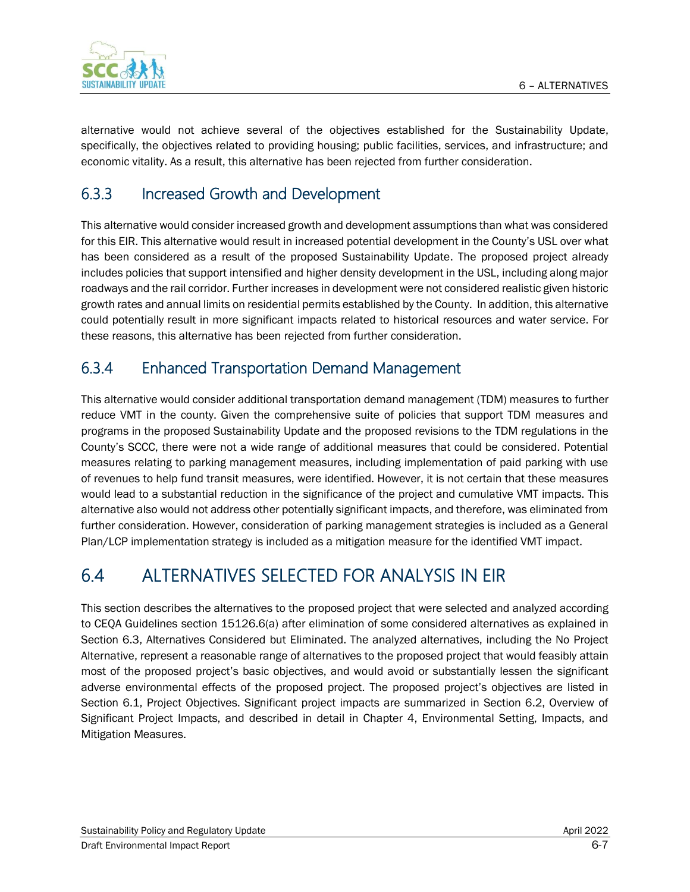alternative would not achieve several of the objectives established for the Sustainability Update, specifically, the objectives related to providing housing; public facilities, services, and infrastructure; and economic vitality. As a result, this alternative has been rejected from further consideration.

# 6.3.3 Increased Growth and Development

This alternative would consider increased growth and development assumptions than what was considered for this EIR. This alternative would result in increased potential development in the County's USL over what has been considered as a result of the proposed Sustainability Update. The proposed project already includes policies that support intensified and higher density development in the USL, including along major roadways and the rail corridor. Further increases in development were not considered realistic given historic growth rates and annual limits on residential permits established by the County. In addition, this alternative could potentially result in more significant impacts related to historical resources and water service. For these reasons, this alternative has been rejected from further consideration.

# 6.3.4 Enhanced Transportation Demand Management

This alternative would consider additional transportation demand management (TDM) measures to further reduce VMT in the county. Given the comprehensive suite of policies that support TDM measures and programs in the proposed Sustainability Update and the proposed revisions to the TDM regulations in the County's SCCC, there were not a wide range of additional measures that could be considered. Potential measures relating to parking management measures, including implementation of paid parking with use of revenues to help fund transit measures, were identified. However, it is not certain that these measures would lead to a substantial reduction in the significance of the project and cumulative VMT impacts. This alternative also would not address other potentially significant impacts, and therefore, was eliminated from further consideration. However, consideration of parking management strategies is included as a General Plan/LCP implementation strategy is included as a mitigation measure for the identified VMT impact.

# 6.4 ALTERNATIVES SELECTED FOR ANALYSIS IN EIR

This section describes the alternatives to the proposed project that were selected and analyzed according to CEQA Guidelines section 15126.6(a) after elimination of some considered alternatives as explained in Section 6.3, Alternatives Considered but Eliminated. The analyzed alternatives, including the No Project Alternative, represent a reasonable range of alternatives to the proposed project that would feasibly attain most of the proposed project's basic objectives, and would avoid or substantially lessen the significant adverse environmental effects of the proposed project. The proposed project's objectives are listed in Section 6.1, Project Objectives. Significant project impacts are summarized in Section 6.2, Overview of Significant Project Impacts, and described in detail in Chapter 4, Environmental Setting, Impacts, and Mitigation Measures.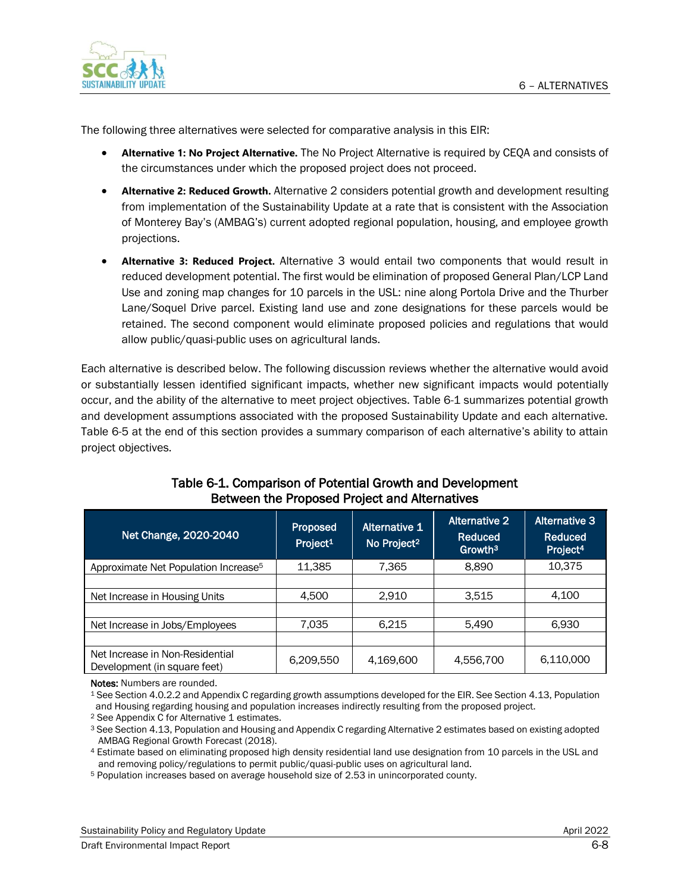

The following three alternatives were selected for comparative analysis in this EIR:

- **Alternative 1: No Project Alternative.** The No Project Alternative is required by CEQA and consists of the circumstances under which the proposed project does not proceed.
- **Alternative 2: Reduced Growth.** Alternative 2 considers potential growth and development resulting from implementation of the Sustainability Update at a rate that is consistent with the Association of Monterey Bay's (AMBAG's) current adopted regional population, housing, and employee growth projections.
- **Alternative 3: Reduced Project.** Alternative 3 would entail two components that would result in reduced development potential. The first would be elimination of proposed General Plan/LCP Land Use and zoning map changes for 10 parcels in the USL: nine along Portola Drive and the Thurber Lane/Soquel Drive parcel. Existing land use and zone designations for these parcels would be retained. The second component would eliminate proposed policies and regulations that would allow public/quasi-public uses on agricultural lands.

Each alternative is described below. The following discussion reviews whether the alternative would avoid or substantially lessen identified significant impacts, whether new significant impacts would potentially occur, and the ability of the alternative to meet project objectives. Table 6-1 summarizes potential growth and development assumptions associated with the proposed Sustainability Update and each alternative. Table 6-5 at the end of this section provides a summary comparison of each alternative's ability to attain project objectives.

| Net Change, 2020-2040                                           | Proposed<br>Project <sup>1</sup> | <b>Alternative 1</b><br>No Project <sup>2</sup> | <b>Alternative 2</b><br>Reduced<br>Growth <sup>3</sup> | Alternative 3<br><b>Reduced</b><br>Project <sup>4</sup> |
|-----------------------------------------------------------------|----------------------------------|-------------------------------------------------|--------------------------------------------------------|---------------------------------------------------------|
| Approximate Net Population Increase <sup>5</sup>                | 11,385                           | 7,365                                           | 8,890                                                  | 10,375                                                  |
|                                                                 |                                  |                                                 |                                                        |                                                         |
| Net Increase in Housing Units                                   | 4,500                            | 2,910                                           | 3,515                                                  | 4,100                                                   |
|                                                                 |                                  |                                                 |                                                        |                                                         |
| Net Increase in Jobs/Employees                                  | 7,035                            | 6,215                                           | 5,490                                                  | 6,930                                                   |
|                                                                 |                                  |                                                 |                                                        |                                                         |
| Net Increase in Non-Residential<br>Development (in square feet) | 6,209,550                        | 4,169,600                                       | 4,556,700                                              | 6,110,000                                               |

#### Table 6-1. Comparison of Potential Growth and Development Between the Proposed Project and Alternatives

Notes: Numbers are rounded.

<sup>1</sup> See Section 4.0.2.2 and Appendix C regarding growth assumptions developed for the EIR. See Section 4.13, Population and Housing regarding housing and population increases indirectly resulting from the proposed project.

<sup>2</sup> See Appendix C for Alternative 1 estimates.

<sup>3</sup> See Section 4.13, Population and Housing and Appendix C regarding Alternative 2 estimates based on existing adopted AMBAG Regional Growth Forecast (2018).

<sup>4</sup> Estimate based on eliminating proposed high density residential land use designation from 10 parcels in the USL and and removing policy/regulations to permit public/quasi-public uses on agricultural land.

<sup>5</sup> Population increases based on average household size of 2.53 in unincorporated county.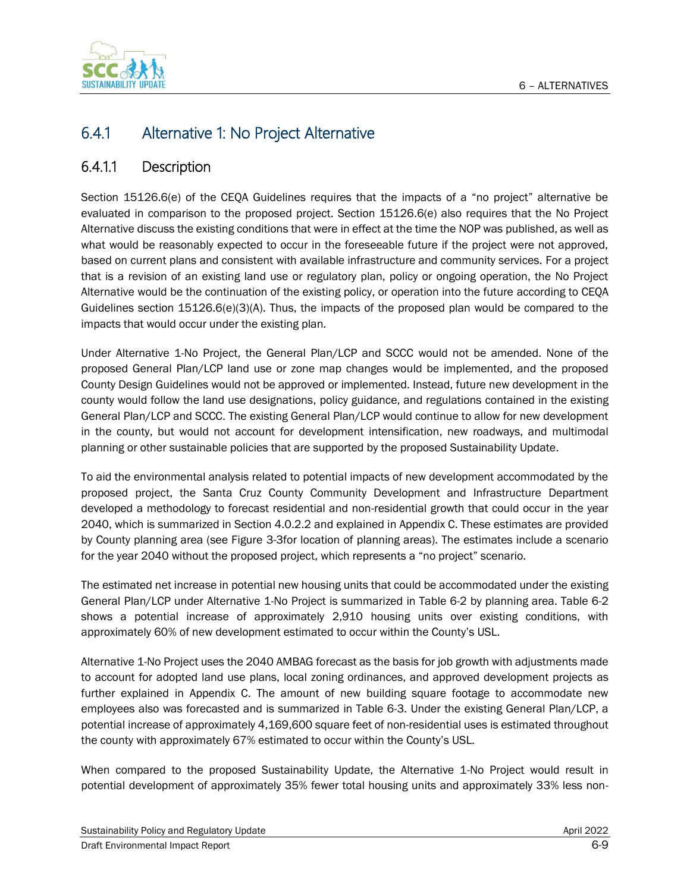

# 6.4.1 Alternative 1: No Project Alternative

### 6.4.1.1 Description

Section 15126.6(e) of the CEQA Guidelines requires that the impacts of a "no project" alternative be evaluated in comparison to the proposed project. Section 15126.6(e) also requires that the No Project Alternative discuss the existing conditions that were in effect at the time the NOP was published, as well as what would be reasonably expected to occur in the foreseeable future if the project were not approved, based on current plans and consistent with available infrastructure and community services. For a project that is a revision of an existing land use or regulatory plan, policy or ongoing operation, the No Project Alternative would be the continuation of the existing policy, or operation into the future according to CEQA Guidelines section  $15126.6(e)(3)(A)$ . Thus, the impacts of the proposed plan would be compared to the impacts that would occur under the existing plan.

Under Alternative 1-No Project, the General Plan/LCP and SCCC would not be amended. None of the proposed General Plan/LCP land use or zone map changes would be implemented, and the proposed County Design Guidelines would not be approved or implemented. Instead, future new development in the county would follow the land use designations, policy guidance, and regulations contained in the existing General Plan/LCP and SCCC. The existing General Plan/LCP would continue to allow for new development in the county, but would not account for development intensification, new roadways, and multimodal planning or other sustainable policies that are supported by the proposed Sustainability Update.

To aid the environmental analysis related to potential impacts of new development accommodated by the proposed project, the Santa Cruz County Community Development and Infrastructure Department developed a methodology to forecast residential and non-residential growth that could occur in the year 2040, which is summarized in Section 4.0.2.2 and explained in Appendix C. These estimates are provided by County planning area (see Figure 3-3for location of planning areas). The estimates include a scenario for the year 2040 without the proposed project, which represents a "no project" scenario.

The estimated net increase in potential new housing units that could be accommodated under the existing General Plan/LCP under Alternative 1-No Project is summarized in Table 6-2 by planning area. Table 6-2 shows a potential increase of approximately 2,910 housing units over existing conditions, with approximately 60% of new development estimated to occur within the County's USL.

Alternative 1-No Project uses the 2040 AMBAG forecast as the basis for job growth with adjustments made to account for adopted land use plans, local zoning ordinances, and approved development projects as further explained in Appendix C. The amount of new building square footage to accommodate new employees also was forecasted and is summarized in Table 6-3. Under the existing General Plan/LCP, a potential increase of approximately 4,169,600 square feet of non-residential uses is estimated throughout the county with approximately 67% estimated to occur within the County's USL.

When compared to the proposed Sustainability Update, the Alternative 1-No Project would result in potential development of approximately 35% fewer total housing units and approximately 33% less non-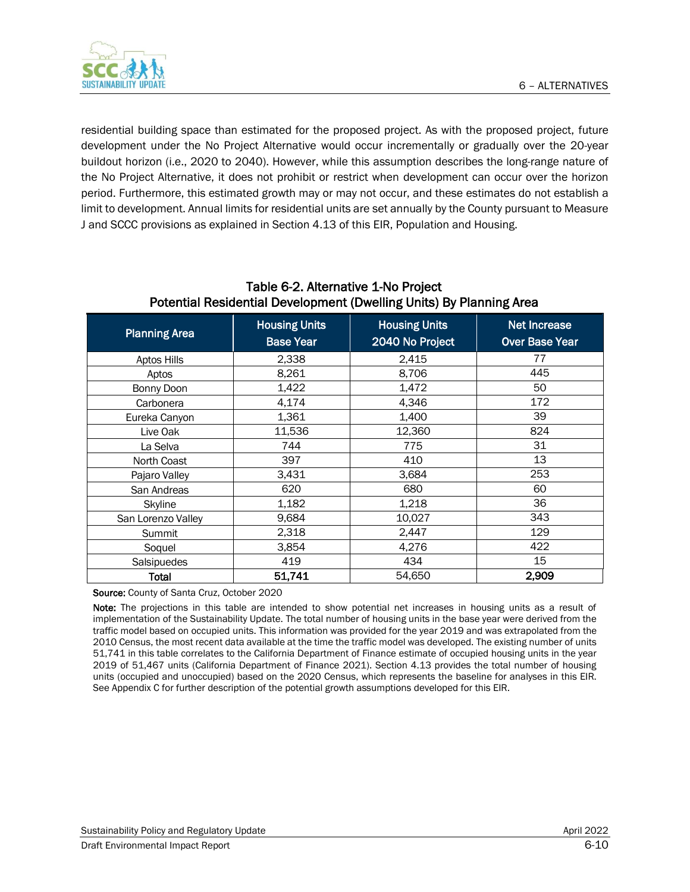

residential building space than estimated for the proposed project. As with the proposed project, future development under the No Project Alternative would occur incrementally or gradually over the 20-year buildout horizon (i.e., 2020 to 2040). However, while this assumption describes the long-range nature of the No Project Alternative, it does not prohibit or restrict when development can occur over the horizon period. Furthermore, this estimated growth may or may not occur, and these estimates do not establish a limit to development. Annual limits for residential units are set annually by the County pursuant to Measure J and SCCC provisions as explained in Section 4.13 of this EIR, Population and Housing.

| <b>Planning Area</b> | <b>Housing Units</b><br><b>Base Year</b> | <b>Housing Units</b><br>2040 No Project | Net Increase<br><b>Over Base Year</b> |  |
|----------------------|------------------------------------------|-----------------------------------------|---------------------------------------|--|
| <b>Aptos Hills</b>   | 2,338                                    | 2,415                                   | 77                                    |  |
| Aptos                | 8,261                                    | 8,706                                   | 445                                   |  |
| Bonny Doon           | 1,422                                    | 1,472                                   | 50                                    |  |
| Carbonera            | 4,174                                    | 4,346                                   | 172                                   |  |
| Eureka Canyon        | 1,361                                    | 1,400                                   | 39                                    |  |
| Live Oak             | 11,536                                   | 12,360                                  | 824                                   |  |
| La Selva             | 744                                      | 775                                     | 31                                    |  |
| North Coast          | 397                                      | 410                                     | 13                                    |  |
| Pajaro Valley        | 3,431                                    | 3,684                                   | 253                                   |  |
| San Andreas          | 620                                      | 680                                     | 60                                    |  |
| Skyline              | 1,182                                    | 1,218                                   | 36                                    |  |
| San Lorenzo Valley   | 9,684                                    | 10,027                                  | 343                                   |  |
| Summit               | 2,318                                    | 2,447                                   | 129                                   |  |
| Soquel               | 3,854                                    | 4,276                                   | 422                                   |  |
| Salsipuedes          | 419                                      | 434                                     | 15                                    |  |
| Total                | 51,741                                   | 54,650                                  | 2,909                                 |  |

#### Table 6-2. Alternative 1-No Project Potential Residential Development (Dwelling Units) By Planning Area

Source: County of Santa Cruz, October 2020

Note: The projections in this table are intended to show potential net increases in housing units as a result of implementation of the Sustainability Update. The total number of housing units in the base year were derived from the traffic model based on occupied units. This information was provided for the year 2019 and was extrapolated from the 2010 Census, the most recent data available at the time the traffic model was developed. The existing number of units 51,741 in this table correlates to the California Department of Finance estimate of occupied housing units in the year 2019 of 51,467 units (California Department of Finance 2021). Section 4.13 provides the total number of housing units (occupied and unoccupied) based on the 2020 Census, which represents the baseline for analyses in this EIR. See Appendix C for further description of the potential growth assumptions developed for this EIR.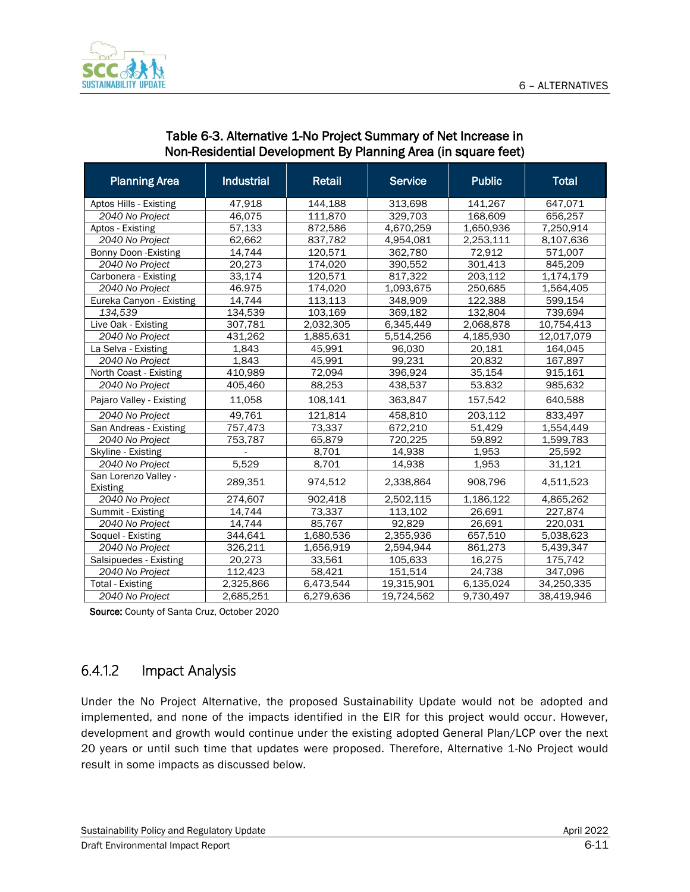

| <b>Planning Area</b>                    | <b>Industrial</b> | <b>Retail</b> | <b>Service</b> | <b>Public</b> | <b>Total</b> |
|-----------------------------------------|-------------------|---------------|----------------|---------------|--------------|
| Aptos Hills - Existing                  | 47,918            | 144,188       | 313,698        | 141,267       | 647,071      |
| 2040 No Project                         | 46,075            | 111,870       | 329,703        | 168,609       | 656,257      |
| Aptos - Existing                        | 57,133            | 872,586       | 4,670,259      | 1,650,936     | 7,250,914    |
| 2040 No Project                         | 62,662            | 837,782       | 4,954,081      | 2,253,111     | 8,107,636    |
| Bonny Doon - Existing                   | 14,744            | 120,571       | 362,780        | 72.912        | 571,007      |
| 2040 No Project                         | 20,273            | 174,020       | 390,552        | 301,413       | 845,209      |
| Carbonera - Existing                    | 33,174            | 120,571       | 817,322        | 203,112       | 1,174,179    |
| 2040 No Project                         | 46.975            | 174,020       | 1,093,675      | 250,685       | 1,564,405    |
| Eureka Canyon - Existing                | 14,744            | 113,113       | 348,909        | 122,388       | 599,154      |
| 134,539                                 | 134,539           | 103,169       | 369,182        | 132,804       | 739,694      |
| Live Oak - Existing                     | 307,781           | 2,032,305     | 6,345,449      | 2,068,878     | 10,754,413   |
| 2040 No Project                         | 431,262           | 1,885,631     | 5,514,256      | 4,185,930     | 12,017,079   |
| La Selva - Existing                     | 1,843             | 45,991        | 96,030         | 20,181        | 164,045      |
| 2040 No Project                         | 1,843             | 45,991        | 99,231         | 20,832        | 167,897      |
| North Coast - Existing                  | 410,989           | 72,094        | 396,924        | 35,154        | 915,161      |
| 2040 No Project                         | 405,460           | 88,253        | 438,537        | 53.832        | 985,632      |
| Pajaro Valley - Existing                | 11,058            | 108,141       | 363,847        | 157,542       | 640,588      |
| 2040 No Project                         | 49,761            | 121,814       | 458,810        | 203,112       | 833,497      |
| San Andreas - Existing                  | 757,473           | 73,337        | 672,210        | 51.429        | 1,554,449    |
| 2040 No Project                         | 753,787           | 65,879        | 720,225        | 59,892        | 1,599,783    |
| Skyline - Existing                      |                   | 8,701         | 14,938         | 1,953         | 25,592       |
| 2040 No Project                         | 5,529             | 8,701         | 14,938         | 1,953         | 31,121       |
| San Lorenzo Valley -<br><b>Existing</b> | 289,351           | 974,512       | 2,338,864      | 908,796       | 4,511,523    |
| 2040 No Project                         | 274,607           | 902,418       | 2,502,115      | 1,186,122     | 4,865,262    |
| Summit - Existing                       | 14.744            | 73,337        | 113,102        | 26,691        | 227,874      |
| 2040 No Project                         | 14,744            | 85,767        | 92,829         | 26,691        | 220,031      |
| Soquel - Existing                       | 344,641           | 1,680,536     | 2,355,936      | 657,510       | 5.038,623    |
| 2040 No Project                         | 326,211           | 1,656,919     | 2,594,944      | 861,273       | 5,439,347    |
| Salsipuedes - Existing                  | 20,273            | 33,561        | 105,633        | 16,275        | 175,742      |
| 2040 No Project                         | 112,423           | 58,421        | 151,514        | 24,738        | 347,096      |
| <b>Total - Existing</b>                 | 2,325,866         | 6,473,544     | 19,315,901     | 6,135,024     | 34,250,335   |
| 2040 No Project                         | 2,685,251         | 6,279,636     | 19.724.562     | 9,730,497     | 38,419,946   |

#### Table 6-3. Alternative 1-No Project Summary of Net Increase in Non-Residential Development By Planning Area (in square feet)

Source: County of Santa Cruz, October 2020

# 6.4.1.2 Impact Analysis

Under the No Project Alternative, the proposed Sustainability Update would not be adopted and implemented, and none of the impacts identified in the EIR for this project would occur. However, development and growth would continue under the existing adopted General Plan/LCP over the next 20 years or until such time that updates were proposed. Therefore, Alternative 1-No Project would result in some impacts as discussed below.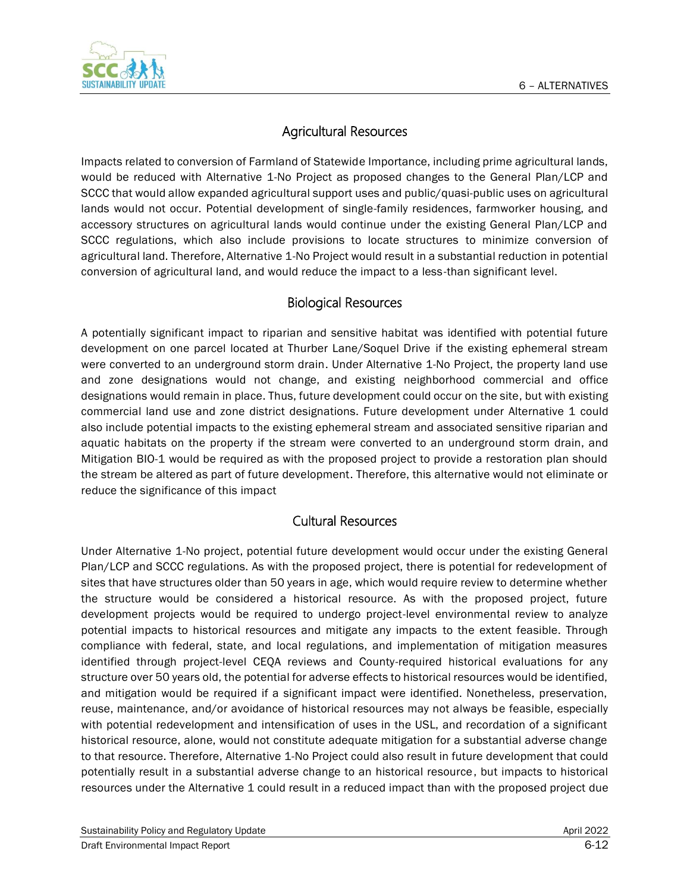

### Agricultural Resources

Impacts related to conversion of Farmland of Statewide Importance, including prime agricultural lands, would be reduced with Alternative 1-No Project as proposed changes to the General Plan/LCP and SCCC that would allow expanded agricultural support uses and public/quasi-public uses on agricultural lands would not occur. Potential development of single-family residences, farmworker housing, and accessory structures on agricultural lands would continue under the existing General Plan/LCP and SCCC regulations, which also include provisions to locate structures to minimize conversion of agricultural land. Therefore, Alternative 1-No Project would result in a substantial reduction in potential conversion of agricultural land, and would reduce the impact to a less-than significant level.

#### Biological Resources

A potentially significant impact to riparian and sensitive habitat was identified with potential future development on one parcel located at Thurber Lane/Soquel Drive if the existing ephemeral stream were converted to an underground storm drain. Under Alternative 1-No Project, the property land use and zone designations would not change, and existing neighborhood commercial and office designations would remain in place. Thus, future development could occur on the site, but with existing commercial land use and zone district designations. Future development under Alternative 1 could also include potential impacts to the existing ephemeral stream and associated sensitive riparian and aquatic habitats on the property if the stream were converted to an underground storm drain, and Mitigation BIO-1 would be required as with the proposed project to provide a restoration plan should the stream be altered as part of future development. Therefore, this alternative would not eliminate or reduce the significance of this impact

#### Cultural Resources

Under Alternative 1-No project, potential future development would occur under the existing General Plan/LCP and SCCC regulations. As with the proposed project, there is potential for redevelopment of sites that have structures older than 50 years in age, which would require review to determine whether the structure would be considered a historical resource. As with the proposed project, future development projects would be required to undergo project-level environmental review to analyze potential impacts to historical resources and mitigate any impacts to the extent feasible. Through compliance with federal, state, and local regulations, and implementation of mitigation measures identified through project-level CEQA reviews and County-required historical evaluations for any structure over 50 years old, the potential for adverse effects to historical resources would be identified, and mitigation would be required if a significant impact were identified. Nonetheless, preservation, reuse, maintenance, and/or avoidance of historical resources may not always be feasible, especially with potential redevelopment and intensification of uses in the USL, and recordation of a significant historical resource, alone, would not constitute adequate mitigation for a substantial adverse change to that resource. Therefore, Alternative 1-No Project could also result in future development that could potentially result in a substantial adverse change to an historical resource, but impacts to historical resources under the Alternative 1 could result in a reduced impact than with the proposed project due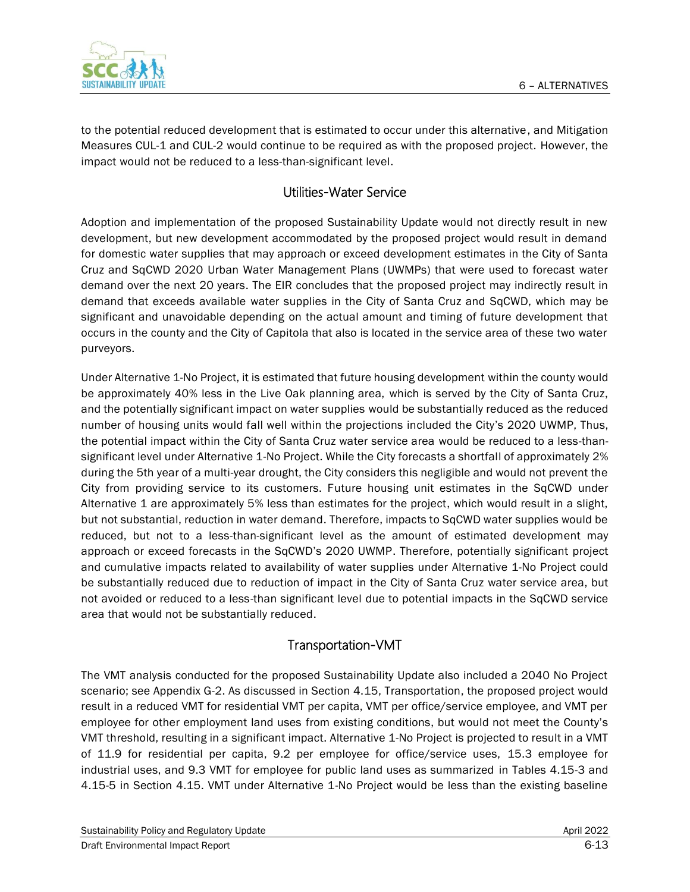

to the potential reduced development that is estimated to occur under this alternative, and Mitigation Measures CUL-1 and CUL-2 would continue to be required as with the proposed project. However, the impact would not be reduced to a less-than-significant level.

#### Utilities-Water Service

Adoption and implementation of the proposed Sustainability Update would not directly result in new development, but new development accommodated by the proposed project would result in demand for domestic water supplies that may approach or exceed development estimates in the City of Santa Cruz and SqCWD 2020 Urban Water Management Plans (UWMPs) that were used to forecast water demand over the next 20 years. The EIR concludes that the proposed project may indirectly result in demand that exceeds available water supplies in the City of Santa Cruz and SqCWD, which may be significant and unavoidable depending on the actual amount and timing of future development that occurs in the county and the City of Capitola that also is located in the service area of these two water purveyors.

Under Alternative 1-No Project, it is estimated that future housing development within the county would be approximately 40% less in the Live Oak planning area, which is served by the City of Santa Cruz, and the potentially significant impact on water supplies would be substantially reduced as the reduced number of housing units would fall well within the projections included the City's 2020 UWMP, Thus, the potential impact within the City of Santa Cruz water service area would be reduced to a less-thansignificant level under Alternative 1-No Project. While the City forecasts a shortfall of approximately 2% during the 5th year of a multi-year drought, the City considers this negligible and would not prevent the City from providing service to its customers. Future housing unit estimates in the SqCWD under Alternative 1 are approximately 5% less than estimates for the project, which would result in a slight, but not substantial, reduction in water demand. Therefore, impacts to SqCWD water supplies would be reduced, but not to a less-than-significant level as the amount of estimated development may approach or exceed forecasts in the SqCWD's 2020 UWMP. Therefore, potentially significant project and cumulative impacts related to availability of water supplies under Alternative 1-No Project could be substantially reduced due to reduction of impact in the City of Santa Cruz water service area, but not avoided or reduced to a less-than significant level due to potential impacts in the SqCWD service area that would not be substantially reduced.

#### Transportation-VMT

The VMT analysis conducted for the proposed Sustainability Update also included a 2040 No Project scenario; see Appendix G-2. As discussed in Section 4.15, Transportation, the proposed project would result in a reduced VMT for residential VMT per capita, VMT per office/service employee, and VMT per employee for other employment land uses from existing conditions, but would not meet the County's VMT threshold, resulting in a significant impact. Alternative 1-No Project is projected to result in a VMT of 11.9 for residential per capita, 9.2 per employee for office/service uses, 15.3 employee for industrial uses, and 9.3 VMT for employee for public land uses as summarized in Tables 4.15-3 and 4.15-5 in Section 4.15. VMT under Alternative 1-No Project would be less than the existing baseline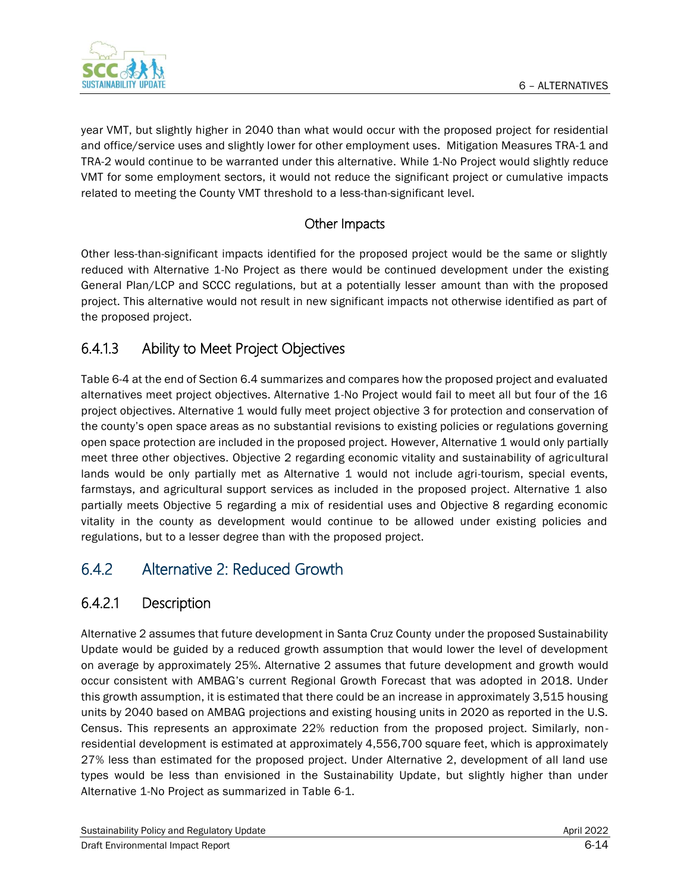

year VMT, but slightly higher in 2040 than what would occur with the proposed project for residential and office/service uses and slightly lower for other employment uses. Mitigation Measures TRA-1 and TRA-2 would continue to be warranted under this alternative. While 1-No Project would slightly reduce VMT for some employment sectors, it would not reduce the significant project or cumulative impacts related to meeting the County VMT threshold to a less-than-significant level.

#### Other Impacts

Other less-than-significant impacts identified for the proposed project would be the same or slightly reduced with Alternative 1-No Project as there would be continued development under the existing General Plan/LCP and SCCC regulations, but at a potentially lesser amount than with the proposed project. This alternative would not result in new significant impacts not otherwise identified as part of the proposed project.

# 6.4.1.3 Ability to Meet Project Objectives

Table 6-4 at the end of Section 6.4 summarizes and compares how the proposed project and evaluated alternatives meet project objectives. Alternative 1-No Project would fail to meet all but four of the 16 project objectives. Alternative 1 would fully meet project objective 3 for protection and conservation of the county's open space areas as no substantial revisions to existing policies or regulations governing open space protection are included in the proposed project. However, Alternative 1 would only partially meet three other objectives. Objective 2 regarding economic vitality and sustainability of agricultural lands would be only partially met as Alternative 1 would not include agri-tourism, special events, farmstays, and agricultural support services as included in the proposed project. Alternative 1 also partially meets Objective 5 regarding a mix of residential uses and Objective 8 regarding economic vitality in the county as development would continue to be allowed under existing policies and regulations, but to a lesser degree than with the proposed project.

# 6.4.2 Alternative 2: Reduced Growth

# 6.4.2.1 Description

Alternative 2 assumes that future development in Santa Cruz County under the proposed Sustainability Update would be guided by a reduced growth assumption that would lower the level of development on average by approximately 25%. Alternative 2 assumes that future development and growth would occur consistent with AMBAG's current Regional Growth Forecast that was adopted in 2018. Under this growth assumption, it is estimated that there could be an increase in approximately 3,515 housing units by 2040 based on AMBAG projections and existing housing units in 2020 as reported in the U.S. Census. This represents an approximate 22% reduction from the proposed project. Similarly, nonresidential development is estimated at approximately 4,556,700 square feet, which is approximately 27% less than estimated for the proposed project. Under Alternative 2, development of all land use types would be less than envisioned in the Sustainability Update, but slightly higher than under Alternative 1-No Project as summarized in Table 6-1.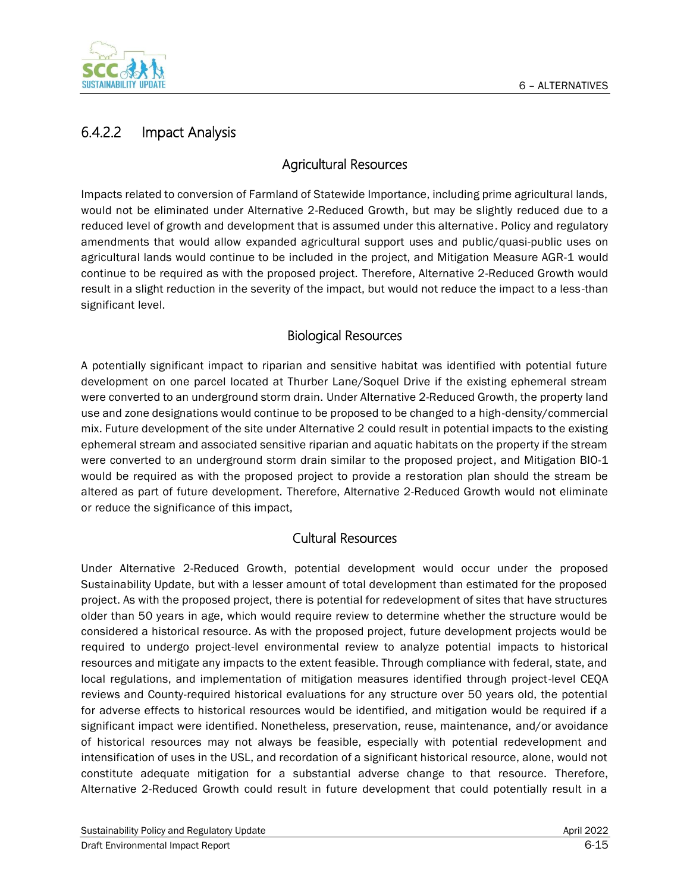

# 6.4.2.2 Impact Analysis

#### Agricultural Resources

Impacts related to conversion of Farmland of Statewide Importance, including prime agricultural lands, would not be eliminated under Alternative 2-Reduced Growth, but may be slightly reduced due to a reduced level of growth and development that is assumed under this alternative. Policy and regulatory amendments that would allow expanded agricultural support uses and public/quasi-public uses on agricultural lands would continue to be included in the project, and Mitigation Measure AGR-1 would continue to be required as with the proposed project. Therefore, Alternative 2-Reduced Growth would result in a slight reduction in the severity of the impact, but would not reduce the impact to a less-than significant level.

#### Biological Resources

A potentially significant impact to riparian and sensitive habitat was identified with potential future development on one parcel located at Thurber Lane/Soquel Drive if the existing ephemeral stream were converted to an underground storm drain. Under Alternative 2-Reduced Growth, the property land use and zone designations would continue to be proposed to be changed to a high-density/commercial mix. Future development of the site under Alternative 2 could result in potential impacts to the existing ephemeral stream and associated sensitive riparian and aquatic habitats on the property if the stream were converted to an underground storm drain similar to the proposed project, and Mitigation BIO-1 would be required as with the proposed project to provide a restoration plan should the stream be altered as part of future development. Therefore, Alternative 2-Reduced Growth would not eliminate or reduce the significance of this impact,

#### Cultural Resources

Under Alternative 2-Reduced Growth, potential development would occur under the proposed Sustainability Update, but with a lesser amount of total development than estimated for the proposed project. As with the proposed project, there is potential for redevelopment of sites that have structures older than 50 years in age, which would require review to determine whether the structure would be considered a historical resource. As with the proposed project, future development projects would be required to undergo project-level environmental review to analyze potential impacts to historical resources and mitigate any impacts to the extent feasible. Through compliance with federal, state, and local regulations, and implementation of mitigation measures identified through project-level CEQA reviews and County-required historical evaluations for any structure over 50 years old, the potential for adverse effects to historical resources would be identified, and mitigation would be required if a significant impact were identified. Nonetheless, preservation, reuse, maintenance, and/or avoidance of historical resources may not always be feasible, especially with potential redevelopment and intensification of uses in the USL, and recordation of a significant historical resource, alone, would not constitute adequate mitigation for a substantial adverse change to that resource. Therefore, Alternative 2-Reduced Growth could result in future development that could potentially result in a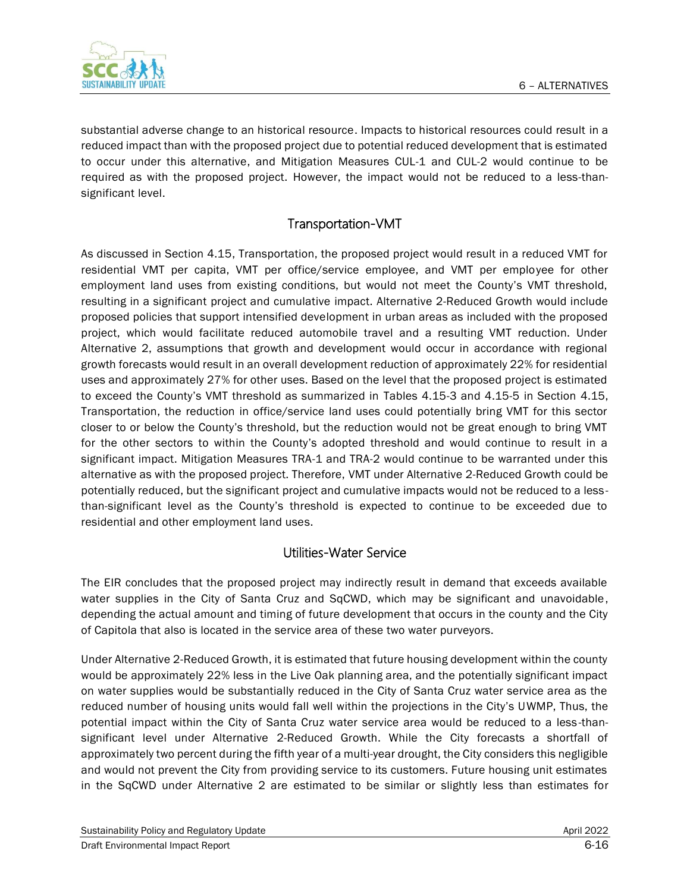

substantial adverse change to an historical resource. Impacts to historical resources could result in a reduced impact than with the proposed project due to potential reduced development that is estimated to occur under this alternative, and Mitigation Measures CUL-1 and CUL-2 would continue to be required as with the proposed project. However, the impact would not be reduced to a less-thansignificant level.

#### Transportation-VMT

As discussed in Section 4.15, Transportation, the proposed project would result in a reduced VMT for residential VMT per capita, VMT per office/service employee, and VMT per employee for other employment land uses from existing conditions, but would not meet the County's VMT threshold, resulting in a significant project and cumulative impact. Alternative 2-Reduced Growth would include proposed policies that support intensified development in urban areas as included with the proposed project, which would facilitate reduced automobile travel and a resulting VMT reduction. Under Alternative 2, assumptions that growth and development would occur in accordance with regional growth forecasts would result in an overall development reduction of approximately 22% for residential uses and approximately 27% for other uses. Based on the level that the proposed project is estimated to exceed the County's VMT threshold as summarized in Tables 4.15-3 and 4.15-5 in Section 4.15, Transportation, the reduction in office/service land uses could potentially bring VMT for this sector closer to or below the County's threshold, but the reduction would not be great enough to bring VMT for the other sectors to within the County's adopted threshold and would continue to result in a significant impact. Mitigation Measures TRA-1 and TRA-2 would continue to be warranted under this alternative as with the proposed project. Therefore, VMT under Alternative 2-Reduced Growth could be potentially reduced, but the significant project and cumulative impacts would not be reduced to a lessthan-significant level as the County's threshold is expected to continue to be exceeded due to residential and other employment land uses.

#### Utilities-Water Service

The EIR concludes that the proposed project may indirectly result in demand that exceeds available water supplies in the City of Santa Cruz and SqCWD, which may be significant and unavoidable, depending the actual amount and timing of future development that occurs in the county and the City of Capitola that also is located in the service area of these two water purveyors.

Under Alternative 2-Reduced Growth, it is estimated that future housing development within the county would be approximately 22% less in the Live Oak planning area, and the potentially significant impact on water supplies would be substantially reduced in the City of Santa Cruz water service area as the reduced number of housing units would fall well within the projections in the City's UWMP, Thus, the potential impact within the City of Santa Cruz water service area would be reduced to a less -thansignificant level under Alternative 2-Reduced Growth. While the City forecasts a shortfall of approximately two percent during the fifth year of a multi-year drought, the City considers this negligible and would not prevent the City from providing service to its customers. Future housing unit estimates in the SqCWD under Alternative 2 are estimated to be similar or slightly less than estimates for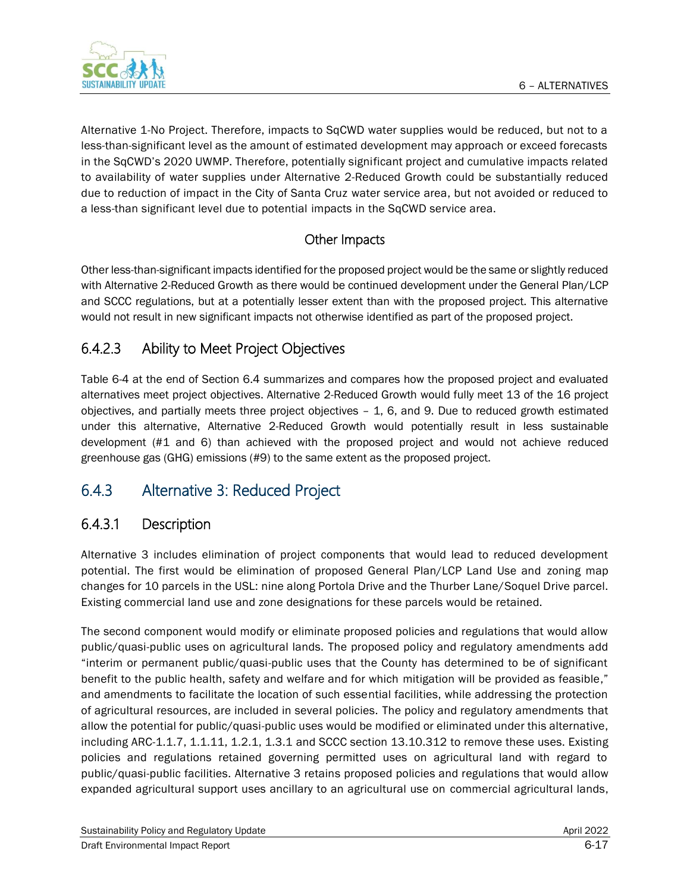



Alternative 1-No Project. Therefore, impacts to SqCWD water supplies would be reduced, but not to a less-than-significant level as the amount of estimated development may approach or exceed forecasts in the SqCWD's 2020 UWMP. Therefore, potentially significant project and cumulative impacts related to availability of water supplies under Alternative 2-Reduced Growth could be substantially reduced due to reduction of impact in the City of Santa Cruz water service area, but not avoided or reduced to a less-than significant level due to potential impacts in the SqCWD service area.

### Other Impacts

Other less-than-significant impacts identified for the proposed project would be the same or slightly reduced with Alternative 2-Reduced Growth as there would be continued development under the General Plan/LCP and SCCC regulations, but at a potentially lesser extent than with the proposed project. This alternative would not result in new significant impacts not otherwise identified as part of the proposed project.

# 6.4.2.3 Ability to Meet Project Objectives

Table 6-4 at the end of Section 6.4 summarizes and compares how the proposed project and evaluated alternatives meet project objectives. Alternative 2-Reduced Growth would fully meet 13 of the 16 project objectives, and partially meets three project objectives – 1, 6, and 9. Due to reduced growth estimated under this alternative, Alternative 2-Reduced Growth would potentially result in less sustainable development (#1 and 6) than achieved with the proposed project and would not achieve reduced greenhouse gas (GHG) emissions (#9) to the same extent as the proposed project.

# 6.4.3 Alternative 3: Reduced Project

# 6.4.3.1 Description

Alternative 3 includes elimination of project components that would lead to reduced development potential. The first would be elimination of proposed General Plan/LCP Land Use and zoning map changes for 10 parcels in the USL: nine along Portola Drive and the Thurber Lane/Soquel Drive parcel. Existing commercial land use and zone designations for these parcels would be retained.

The second component would modify or eliminate proposed policies and regulations that would allow public/quasi-public uses on agricultural lands. The proposed policy and regulatory amendments add "interim or permanent public/quasi-public uses that the County has determined to be of significant benefit to the public health, safety and welfare and for which mitigation will be provided as feasible," and amendments to facilitate the location of such essential facilities, while addressing the protection of agricultural resources, are included in several policies. The policy and regulatory amendments that allow the potential for public/quasi-public uses would be modified or eliminated under this alternative, including ARC-1.1.7, 1.1.11, 1.2.1, 1.3.1 and SCCC section 13.10.312 to remove these uses. Existing policies and regulations retained governing permitted uses on agricultural land with regard to public/quasi-public facilities. Alternative 3 retains proposed policies and regulations that would allow expanded agricultural support uses ancillary to an agricultural use on commercial agricultural lands,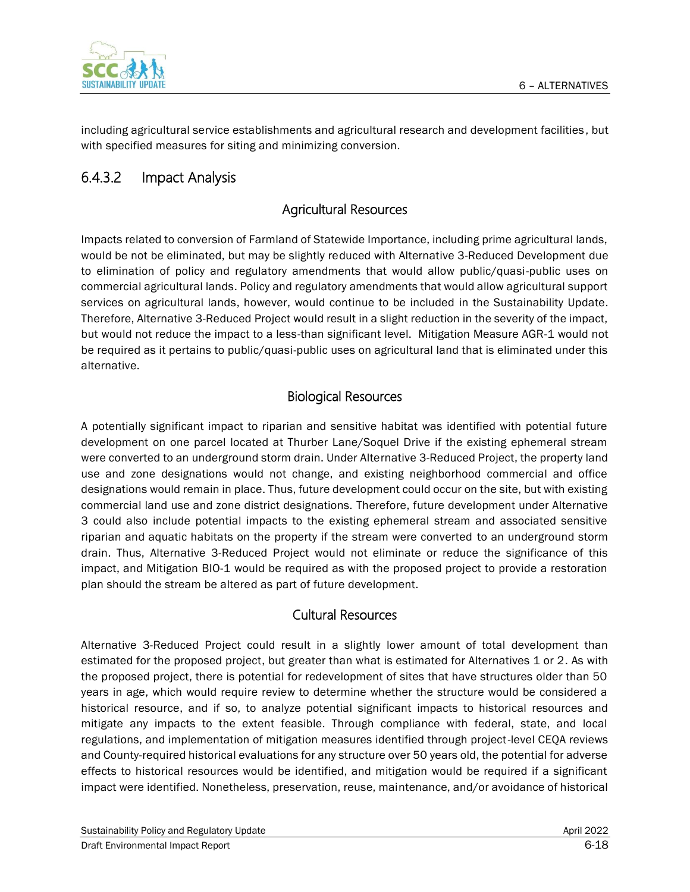

including agricultural service establishments and agricultural research and development facilities , but with specified measures for siting and minimizing conversion.

# 6.4.3.2 Impact Analysis

#### Agricultural Resources

Impacts related to conversion of Farmland of Statewide Importance, including prime agricultural lands, would be not be eliminated, but may be slightly reduced with Alternative 3-Reduced Development due to elimination of policy and regulatory amendments that would allow public/quasi-public uses on commercial agricultural lands. Policy and regulatory amendments that would allow agricultural support services on agricultural lands, however, would continue to be included in the Sustainability Update. Therefore, Alternative 3-Reduced Project would result in a slight reduction in the severity of the impact, but would not reduce the impact to a less-than significant level. Mitigation Measure AGR-1 would not be required as it pertains to public/quasi-public uses on agricultural land that is eliminated under this alternative.

#### Biological Resources

A potentially significant impact to riparian and sensitive habitat was identified with potential future development on one parcel located at Thurber Lane/Soquel Drive if the existing ephemeral stream were converted to an underground storm drain. Under Alternative 3-Reduced Project, the property land use and zone designations would not change, and existing neighborhood commercial and office designations would remain in place. Thus, future development could occur on the site, but with existing commercial land use and zone district designations. Therefore, future development under Alternative 3 could also include potential impacts to the existing ephemeral stream and associated sensitive riparian and aquatic habitats on the property if the stream were converted to an underground storm drain. Thus, Alternative 3-Reduced Project would not eliminate or reduce the significance of this impact, and Mitigation BIO-1 would be required as with the proposed project to provide a restoration plan should the stream be altered as part of future development.

#### Cultural Resources

Alternative 3-Reduced Project could result in a slightly lower amount of total development than estimated for the proposed project, but greater than what is estimated for Alternatives 1 or 2. As with the proposed project, there is potential for redevelopment of sites that have structures older than 50 years in age, which would require review to determine whether the structure would be considered a historical resource, and if so, to analyze potential significant impacts to historical resources and mitigate any impacts to the extent feasible. Through compliance with federal, state, and local regulations, and implementation of mitigation measures identified through project-level CEQA reviews and County-required historical evaluations for any structure over 50 years old, the potential for adverse effects to historical resources would be identified, and mitigation would be required if a significant impact were identified. Nonetheless, preservation, reuse, maintenance, and/or avoidance of historical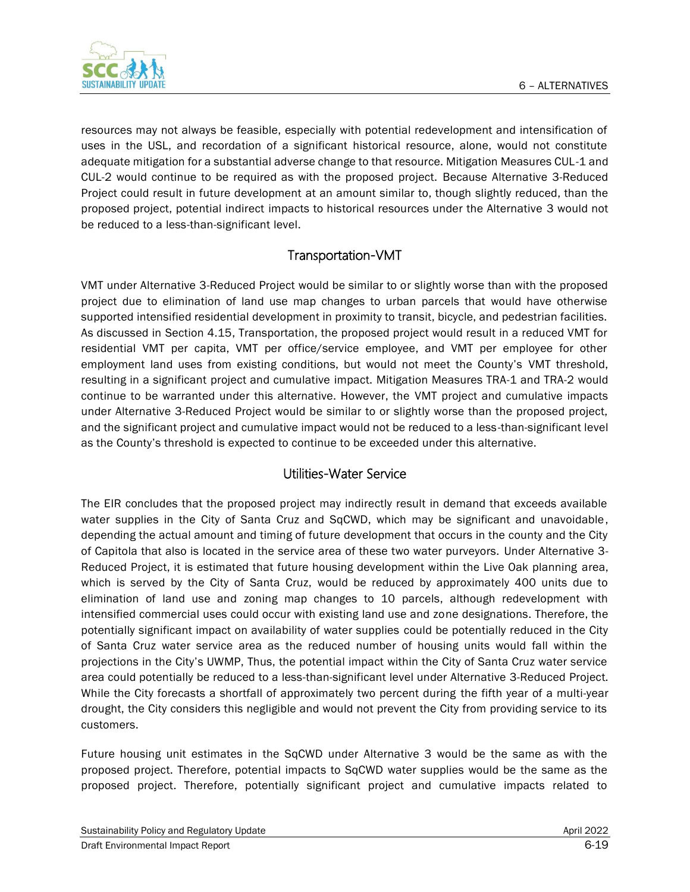

resources may not always be feasible, especially with potential redevelopment and intensification of uses in the USL, and recordation of a significant historical resource, alone, would not constitute adequate mitigation for a substantial adverse change to that resource. Mitigation Measures CUL-1 and CUL-2 would continue to be required as with the proposed project. Because Alternative 3-Reduced Project could result in future development at an amount similar to, though slightly reduced, than the proposed project, potential indirect impacts to historical resources under the Alternative 3 would not be reduced to a less-than-significant level.

#### Transportation-VMT

VMT under Alternative 3-Reduced Project would be similar to or slightly worse than with the proposed project due to elimination of land use map changes to urban parcels that would have otherwise supported intensified residential development in proximity to transit, bicycle, and pedestrian facilities. As discussed in Section 4.15, Transportation, the proposed project would result in a reduced VMT for residential VMT per capita, VMT per office/service employee, and VMT per employee for other employment land uses from existing conditions, but would not meet the County's VMT threshold, resulting in a significant project and cumulative impact. Mitigation Measures TRA-1 and TRA-2 would continue to be warranted under this alternative. However, the VMT project and cumulative impacts under Alternative 3-Reduced Project would be similar to or slightly worse than the proposed project, and the significant project and cumulative impact would not be reduced to a less-than-significant level as the County's threshold is expected to continue to be exceeded under this alternative.

#### Utilities-Water Service

The EIR concludes that the proposed project may indirectly result in demand that exceeds available water supplies in the City of Santa Cruz and SqCWD, which may be significant and unavoidable, depending the actual amount and timing of future development that occurs in the county and the City of Capitola that also is located in the service area of these two water purveyors. Under Alternative 3- Reduced Project, it is estimated that future housing development within the Live Oak planning area, which is served by the City of Santa Cruz, would be reduced by approximately 400 units due to elimination of land use and zoning map changes to 10 parcels, although redevelopment with intensified commercial uses could occur with existing land use and zone designations. Therefore, the potentially significant impact on availability of water supplies could be potentially reduced in the City of Santa Cruz water service area as the reduced number of housing units would fall within the projections in the City's UWMP, Thus, the potential impact within the City of Santa Cruz water service area could potentially be reduced to a less-than-significant level under Alternative 3-Reduced Project. While the City forecasts a shortfall of approximately two percent during the fifth year of a multi-year drought, the City considers this negligible and would not prevent the City from providing service to its customers.

Future housing unit estimates in the SqCWD under Alternative 3 would be the same as with the proposed project. Therefore, potential impacts to SqCWD water supplies would be the same as the proposed project. Therefore, potentially significant project and cumulative impacts related to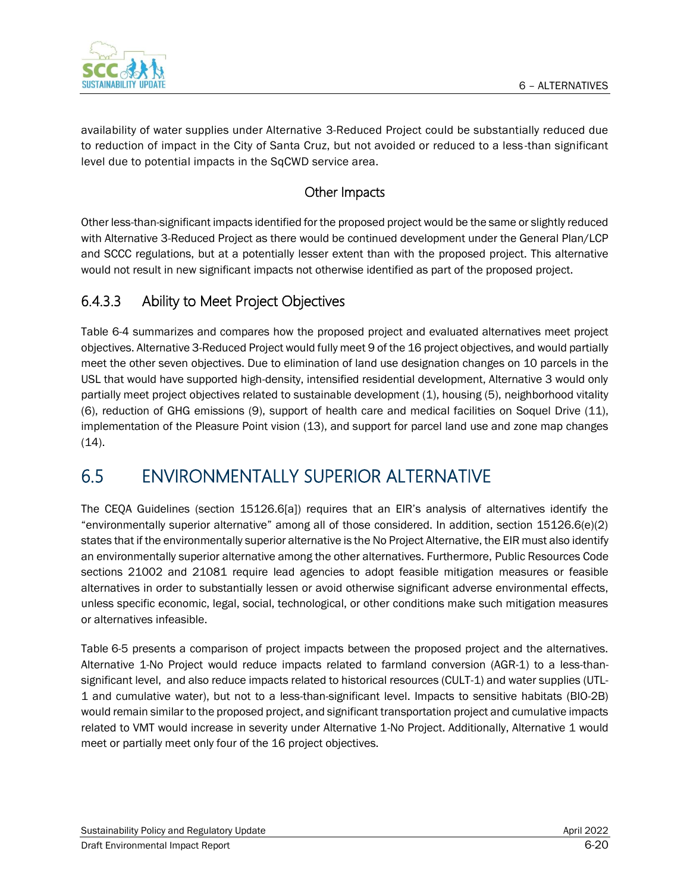

availability of water supplies under Alternative 3-Reduced Project could be substantially reduced due to reduction of impact in the City of Santa Cruz, but not avoided or reduced to a less -than significant level due to potential impacts in the SqCWD service area.

#### Other Impacts

Other less-than-significant impacts identified for the proposed project would be the same or slightly reduced with Alternative 3-Reduced Project as there would be continued development under the General Plan/LCP and SCCC regulations, but at a potentially lesser extent than with the proposed project. This alternative would not result in new significant impacts not otherwise identified as part of the proposed project.

# 6.4.3.3 Ability to Meet Project Objectives

Table 6-4 summarizes and compares how the proposed project and evaluated alternatives meet project objectives. Alternative 3-Reduced Project would fully meet 9 of the 16 project objectives, and would partially meet the other seven objectives. Due to elimination of land use designation changes on 10 parcels in the USL that would have supported high-density, intensified residential development, Alternative 3 would only partially meet project objectives related to sustainable development (1), housing (5), neighborhood vitality (6), reduction of GHG emissions (9), support of health care and medical facilities on Soquel Drive (11), implementation of the Pleasure Point vision (13), and support for parcel land use and zone map changes  $(14)$ .

# 6.5 ENVIRONMENTALLY SUPERIOR ALTERNATIVE

The CEQA Guidelines (section 15126.6[a]) requires that an EIR's analysis of alternatives identify the "environmentally superior alternative" among all of those considered. In addition, section 15126.6(e)(2) states that if the environmentally superior alternative is the No Project Alternative, the EIR must also identify an environmentally superior alternative among the other alternatives. Furthermore, Public Resources Code sections 21002 and 21081 require lead agencies to adopt feasible mitigation measures or feasible alternatives in order to substantially lessen or avoid otherwise significant adverse environmental effects, unless specific economic, legal, social, technological, or other conditions make such mitigation measures or alternatives infeasible.

[Table](#page-21-0) 6-5 presents a comparison of project impacts between the proposed project and the alternatives. Alternative 1-No Project would reduce impacts related to farmland conversion (AGR-1) to a less-thansignificant level, and also reduce impacts related to historical resources (CULT-1) and water supplies (UTL-1 and cumulative water), but not to a less-than-significant level. Impacts to sensitive habitats (BIO-2B) would remain similar to the proposed project, and significant transportation project and cumulative impacts related to VMT would increase in severity under Alternative 1-No Project. Additionally, Alternative 1 would meet or partially meet only four of the 16 project objectives.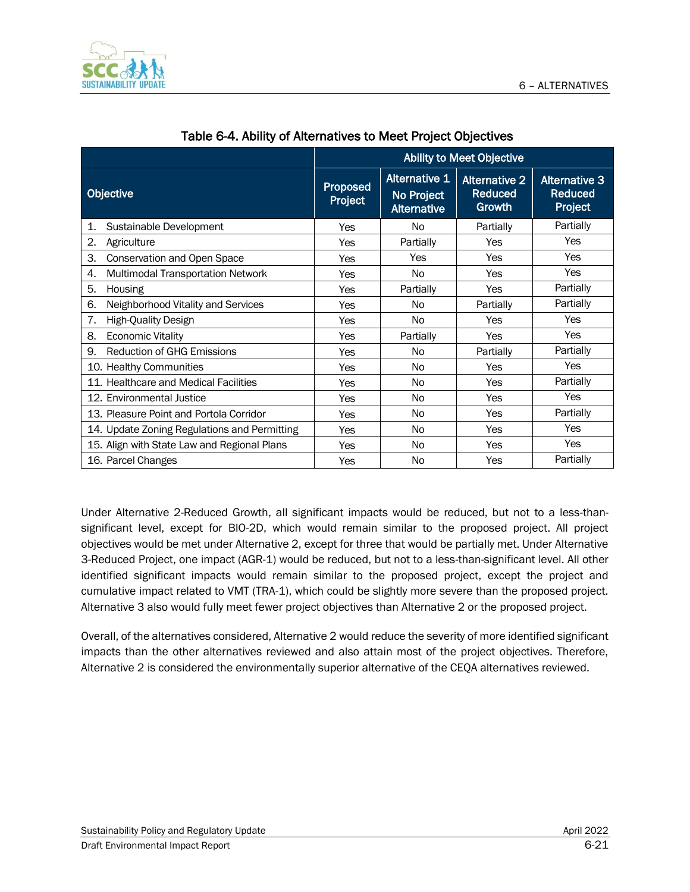

|                                              | <b>Ability to Meet Objective</b> |                                                          |                                                  |                                                   |
|----------------------------------------------|----------------------------------|----------------------------------------------------------|--------------------------------------------------|---------------------------------------------------|
| Objective                                    | Proposed<br>Project              | <b>Alternative 1</b><br>No Project<br><b>Alternative</b> | <b>Alternative 2</b><br><b>Reduced</b><br>Growth | <b>Alternative 3</b><br><b>Reduced</b><br>Project |
| Sustainable Development<br>1.                | Yes                              | <b>No</b>                                                | Partially                                        | Partially                                         |
| 2.<br>Agriculture                            | Yes                              | Partially                                                | Yes                                              | Yes                                               |
| З.<br>Conservation and Open Space            | Yes                              | Yes                                                      | Yes                                              | Yes                                               |
| Multimodal Transportation Network<br>4.      | Yes                              | <b>No</b>                                                | Yes                                              | Yes                                               |
| 5.<br>Housing                                | Yes                              | Partially                                                | Yes                                              | Partially                                         |
| 6.<br>Neighborhood Vitality and Services     | Yes                              | N <sub>o</sub>                                           | Partially                                        | Partially                                         |
| 7.<br><b>High-Quality Design</b>             | Yes                              | N <sub>o</sub>                                           | Yes                                              | Yes                                               |
| <b>Economic Vitality</b><br>8.               | Yes                              | Partially                                                | <b>Yes</b>                                       | <b>Yes</b>                                        |
| 9.<br><b>Reduction of GHG Emissions</b>      | Yes                              | N <sub>o</sub>                                           | Partially                                        | Partially                                         |
| 10. Healthy Communities                      | Yes                              | N <sub>o</sub>                                           | Yes                                              | Yes                                               |
| 11. Healthcare and Medical Facilities        | Yes                              | N <sub>o</sub>                                           | Yes                                              | Partially                                         |
| 12. Environmental Justice                    | Yes                              | N <sub>0</sub>                                           | Yes                                              | Yes                                               |
| 13. Pleasure Point and Portola Corridor      | Yes                              | N <sub>o</sub>                                           | Yes                                              | Partially                                         |
| 14. Update Zoning Regulations and Permitting | Yes                              | N <sub>o</sub>                                           | Yes                                              | Yes                                               |
| 15. Align with State Law and Regional Plans  | Yes                              | N <sub>o</sub>                                           | Yes                                              | Yes                                               |
| 16. Parcel Changes                           | Yes                              | No                                                       | Yes                                              | Partially                                         |

#### Table 6-4. Ability of Alternatives to Meet Project Objectives

Under Alternative 2-Reduced Growth, all significant impacts would be reduced, but not to a less-thansignificant level, except for BIO-2D, which would remain similar to the proposed project. All project objectives would be met under Alternative 2, except for three that would be partially met. Under Alternative 3-Reduced Project, one impact (AGR-1) would be reduced, but not to a less-than-significant level. All other identified significant impacts would remain similar to the proposed project, except the project and cumulative impact related to VMT (TRA-1), which could be slightly more severe than the proposed project. Alternative 3 also would fully meet fewer project objectives than Alternative 2 or the proposed project.

Overall, of the alternatives considered, Alternative 2 would reduce the severity of more identified significant impacts than the other alternatives reviewed and also attain most of the project objectives. Therefore, Alternative 2 is considered the environmentally superior alternative of the CEQA alternatives reviewed.